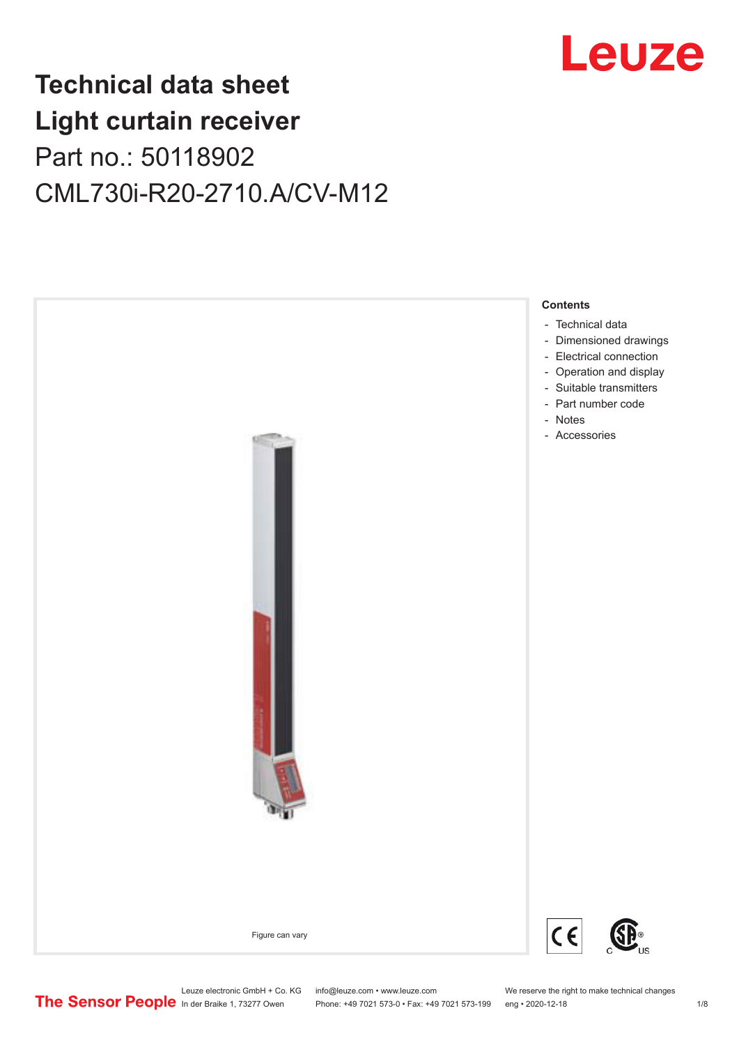

## **Technical data sheet Light curtain receiver** Part no.: 50118902 CML730i-R20-2710.A/CV-M12



Leuze electronic GmbH + Co. KG info@leuze.com • www.leuze.com We reserve the right to make technical changes<br>
The Sensor People in der Braike 1, 73277 Owen Phone: +49 7021 573-0 • Fax: +49 7021 573-199 eng • 2020-12-18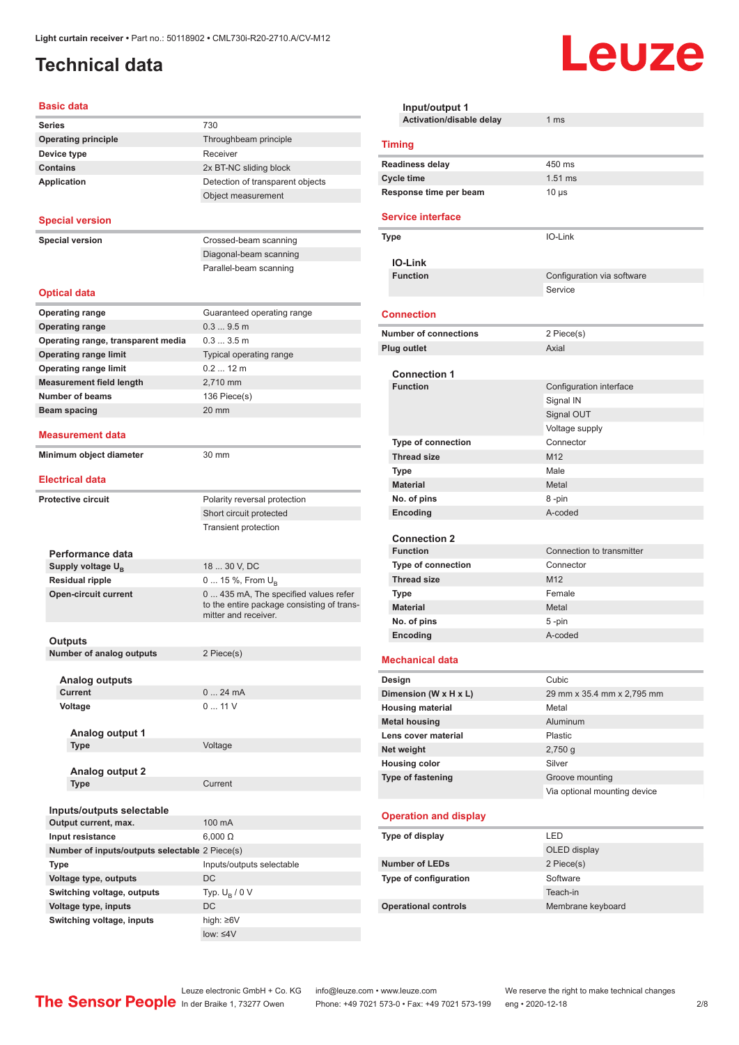## <span id="page-1-0"></span>**Technical data**

#### **Basic data**

| <b>Dasic uala</b>                              |                                                                                                             |
|------------------------------------------------|-------------------------------------------------------------------------------------------------------------|
| <b>Series</b>                                  | 730                                                                                                         |
| <b>Operating principle</b>                     | Throughbeam principle                                                                                       |
| Device type                                    | Receiver                                                                                                    |
| <b>Contains</b>                                | 2x BT-NC sliding block                                                                                      |
| <b>Application</b>                             | Detection of transparent objects                                                                            |
|                                                | Object measurement                                                                                          |
|                                                |                                                                                                             |
| <b>Special version</b>                         |                                                                                                             |
| <b>Special version</b>                         | Crossed-beam scanning                                                                                       |
|                                                | Diagonal-beam scanning                                                                                      |
|                                                | Parallel-beam scanning                                                                                      |
| <b>Optical data</b>                            |                                                                                                             |
|                                                |                                                                                                             |
| <b>Operating range</b>                         | Guaranteed operating range                                                                                  |
| <b>Operating range</b>                         | 0.39.5m                                                                                                     |
| Operating range, transparent media             | 0.33.5m                                                                                                     |
| <b>Operating range limit</b>                   | Typical operating range                                                                                     |
| <b>Operating range limit</b>                   | $0.212$ m                                                                                                   |
| <b>Measurement field length</b>                | 2,710 mm                                                                                                    |
| <b>Number of beams</b>                         | 136 Piece(s)                                                                                                |
| Beam spacing                                   | 20 mm                                                                                                       |
| <b>Measurement data</b>                        |                                                                                                             |
| Minimum object diameter                        | 30 mm                                                                                                       |
|                                                |                                                                                                             |
| <b>Electrical data</b>                         |                                                                                                             |
| <b>Protective circuit</b>                      | Polarity reversal protection                                                                                |
|                                                | Short circuit protected                                                                                     |
|                                                | <b>Transient protection</b>                                                                                 |
|                                                |                                                                                                             |
| Performance data                               |                                                                                                             |
| Supply voltage $U_{B}$                         | 18  30 V, DC                                                                                                |
| <b>Residual ripple</b>                         | 0  15 %, From U <sub>B</sub>                                                                                |
| <b>Open-circuit current</b>                    | 0  435 mA, The specified values refer<br>to the entire package consisting of trans-<br>mitter and receiver. |
|                                                |                                                                                                             |
| Outputs                                        |                                                                                                             |
| Number of analog outputs                       | 2 Piece(s)                                                                                                  |
|                                                |                                                                                                             |
| <b>Analog outputs</b><br><b>Current</b>        | 024mA                                                                                                       |
|                                                | 011V                                                                                                        |
| Voltage                                        |                                                                                                             |
| Analog output 1                                |                                                                                                             |
| <b>Type</b>                                    | Voltage                                                                                                     |
|                                                |                                                                                                             |
| <b>Analog output 2</b>                         |                                                                                                             |
| <b>Type</b>                                    | Current                                                                                                     |
|                                                |                                                                                                             |
| Inputs/outputs selectable                      |                                                                                                             |
| Output current, max.                           | 100 mA                                                                                                      |
| Input resistance                               | $6,000 \Omega$                                                                                              |
| Number of inputs/outputs selectable 2 Piece(s) |                                                                                                             |
| Type                                           | Inputs/outputs selectable                                                                                   |
| Voltage type, outputs                          | DC                                                                                                          |
| Switching voltage, outputs                     | Typ. $U_R / 0 V$                                                                                            |
| Voltage type, inputs                           | DC                                                                                                          |
| Switching voltage, inputs                      | high: ≥6V                                                                                                   |

| Input/output 1                 |                              |
|--------------------------------|------------------------------|
| Activation/disable delay       | 1 <sub>ms</sub>              |
| <b>Timing</b>                  |                              |
| <b>Readiness delay</b>         | 450 ms                       |
| <b>Cycle time</b>              | $1.51$ ms                    |
| Response time per beam         | $10 \mu s$                   |
| <b>Service interface</b>       |                              |
| <b>Type</b>                    | IO-Link                      |
| <b>IO-Link</b>                 |                              |
| <b>Function</b>                | Configuration via software   |
|                                | Service                      |
| <b>Connection</b>              |                              |
| <b>Number of connections</b>   | 2 Piece(s)                   |
| <b>Plug outlet</b>             | Axial                        |
| <b>Connection 1</b>            |                              |
| <b>Function</b>                | Configuration interface      |
|                                | Signal IN                    |
|                                | Signal OUT                   |
|                                | Voltage supply               |
| <b>Type of connection</b>      | Connector                    |
| <b>Thread size</b>             | M12                          |
| Type                           | Male                         |
| <b>Material</b>                | Metal                        |
| No. of pins                    | 8 -pin                       |
| Encoding                       | A-coded                      |
|                                |                              |
| <b>Connection 2</b>            |                              |
| <b>Function</b>                | Connection to transmitter    |
| <b>Type of connection</b>      | Connector                    |
| <b>Thread size</b>             | M <sub>12</sub>              |
| <b>Type</b><br><b>Material</b> | Female                       |
|                                | Metal                        |
| No. of pins                    | 5-pin<br>A-coded             |
| Encoding                       |                              |
| <b>Mechanical data</b>         |                              |
| Design                         | Cubic                        |
| Dimension (W x H x L)          | 29 mm x 35.4 mm x 2,795 mm   |
| <b>Housing material</b>        | Metal                        |
| <b>Metal housing</b>           | Aluminum                     |
| Lens cover material            | Plastic                      |
| Net weight                     | 2,750q                       |
| <b>Housing color</b>           | Silver                       |
| Type of fastening              | Groove mounting              |
|                                | Via optional mounting device |
| <b>Operation and display</b>   |                              |
| Type of display                | LED                          |
|                                | OLED display                 |
| <b>Number of LEDs</b>          | 2 Piece(s)                   |
| Type of configuration          | Software                     |
|                                | Teach-in                     |
| <b>Operational controls</b>    | Membrane keyboard            |
|                                |                              |

**Leuze** 

low: ≤4V

Leuze electronic GmbH + Co. KG info@leuze.com • www.leuze.com We reserve the right to make technical changes

ln der Braike 1, 73277 Owen Phone: +49 7021 573-0 • Fax: +49 7021 573-199 eng • 2020-12-18 2/8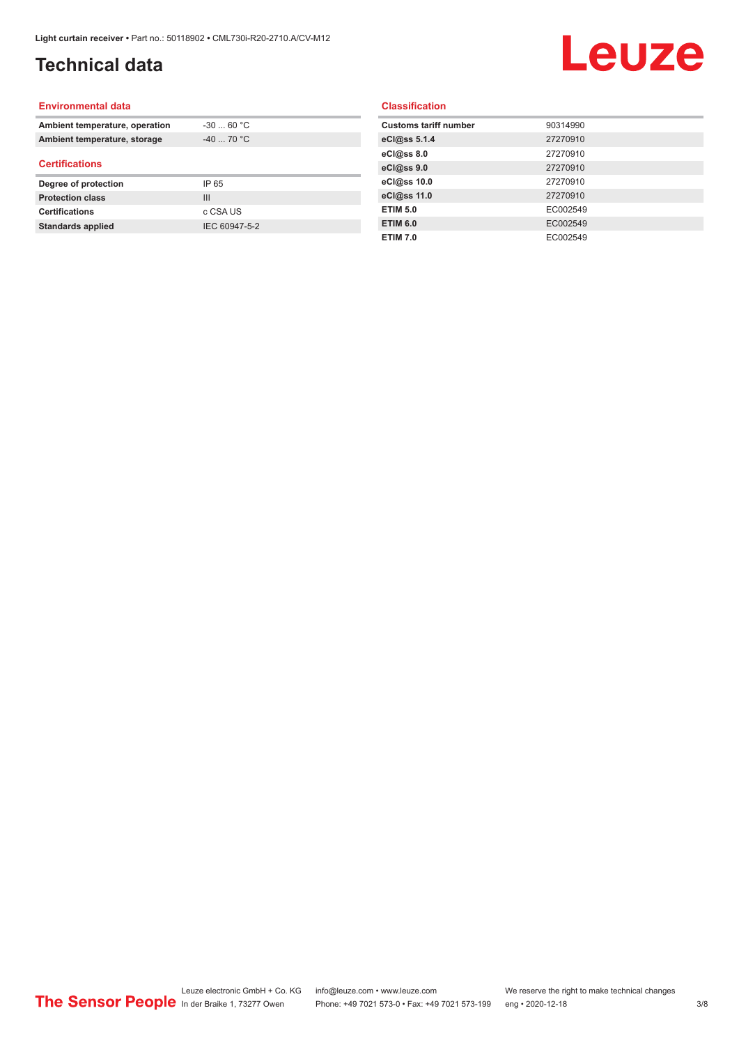## **Technical data**

# Leuze

#### **Environmental data**

| Ambient temperature, operation | $-3060 °C$     |  |
|--------------------------------|----------------|--|
| Ambient temperature, storage   | $-40$ 70 °C    |  |
| <b>Certifications</b>          |                |  |
| Degree of protection           | IP 65          |  |
| <b>Protection class</b>        | $\mathbf{III}$ |  |
| <b>Certifications</b>          | c CSA US       |  |
| Standards applied              | IEC 60947-5-2  |  |

#### **Classification**

| <b>Customs tariff number</b> | 90314990 |
|------------------------------|----------|
| eCl@ss 5.1.4                 | 27270910 |
| eCl@ss 8.0                   | 27270910 |
| eCl@ss 9.0                   | 27270910 |
| eCl@ss 10.0                  | 27270910 |
| eCl@ss 11.0                  | 27270910 |
| <b>ETIM 5.0</b>              | EC002549 |
| <b>ETIM 6.0</b>              | EC002549 |
| <b>ETIM 7.0</b>              | EC002549 |
|                              |          |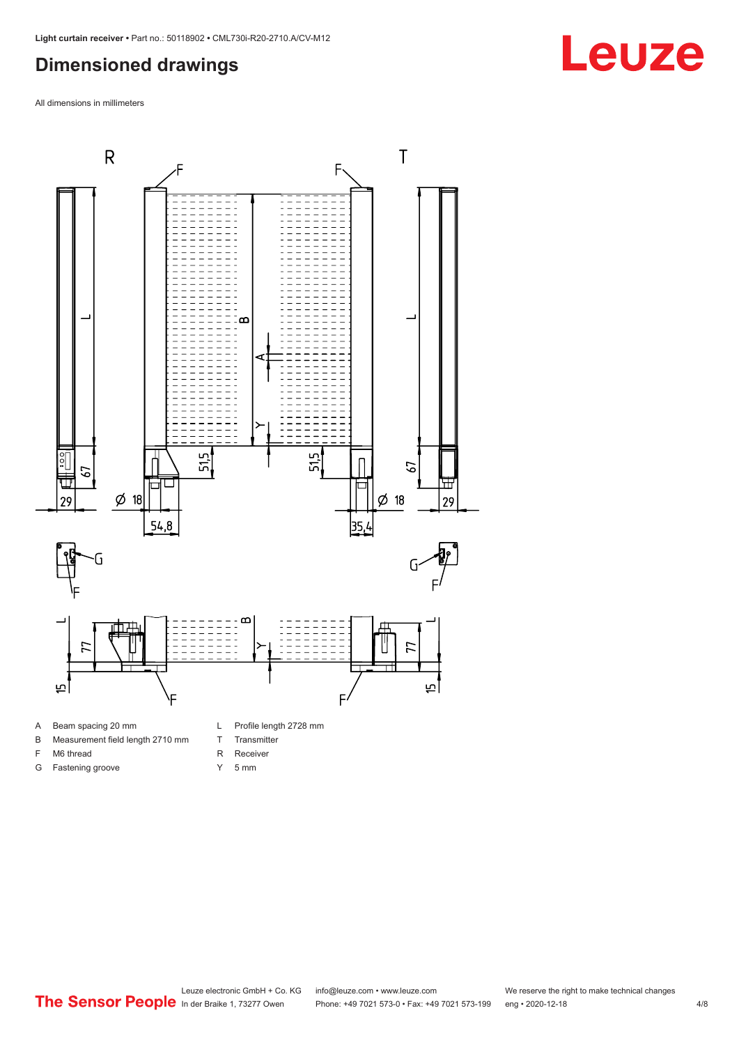### <span id="page-3-0"></span>**Dimensioned drawings**

All dimensions in millimeters



- A Beam spacing 20 mm
- B Measurement field length 2710 mm
- F M6 thread

G Fastening groove

- R Receiver
	- Y 5 mm

T Transmitter

Leuze electronic GmbH + Co. KG info@leuze.com • www.leuze.com We reserve the right to make technical changes<br>
The Sensor People in der Braike 1, 73277 Owen Phone: +49 7021 573-0 • Fax: +49 7021 573-199 eng • 2020-12-18 Phone: +49 7021 573-0 • Fax: +49 7021 573-199 eng • 2020-12-18 4/8

# **Leuze**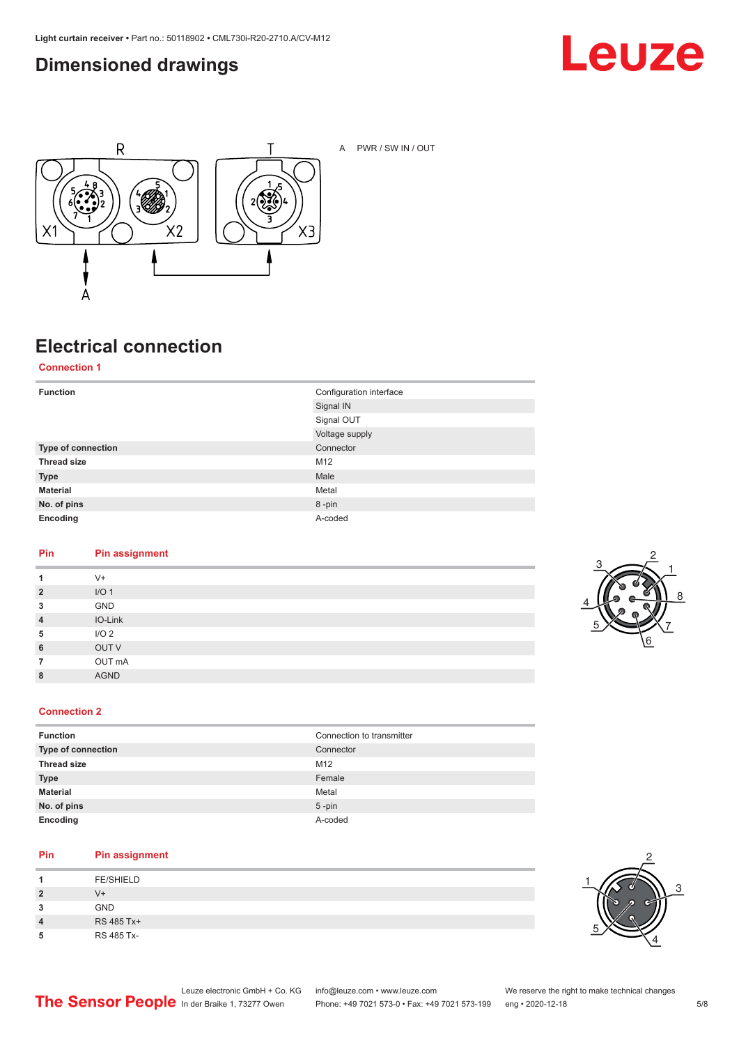### <span id="page-4-0"></span>**Dimensioned drawings**





A PWR / SW IN / OUT

## **Electrical connection**

**Connection 1**

| <b>Function</b>    | Configuration interface<br>Signal IN |
|--------------------|--------------------------------------|
|                    | Signal OUT                           |
|                    | Voltage supply                       |
| Type of connection | Connector                            |
| <b>Thread size</b> | M12                                  |
| <b>Type</b>        | Male                                 |
| <b>Material</b>    | Metal                                |
| No. of pins        | 8-pin                                |
| Encoding           | A-coded                              |

#### **Pin Pin assignment**

| 1              | $V +$            |
|----------------|------------------|
| $\overline{2}$ | I/O <sub>1</sub> |
| 3              | GND              |
| $\overline{4}$ | IO-Link          |
| 5              | I/O <sub>2</sub> |
| 6              | OUT V            |
| $\overline{7}$ | OUT mA           |
| 8              | <b>AGND</b>      |
|                |                  |



#### **Connection 2**

| <b>Function</b>    | Connection to transmitter |
|--------------------|---------------------------|
| Type of connection | Connector                 |
| <b>Thread size</b> | M12                       |
| <b>Type</b>        | Female                    |
| <b>Material</b>    | Metal                     |
| No. of pins        | $5$ -pin                  |
| Encoding           | A-coded                   |

#### **Pin Pin assignment**

| л              | <b>FE/SHIELD</b> |
|----------------|------------------|
| $\overline{2}$ | V+               |
| 3              | <b>GND</b>       |
| 4              | RS 485 Tx+       |
| 5              | RS 485 Tx-       |

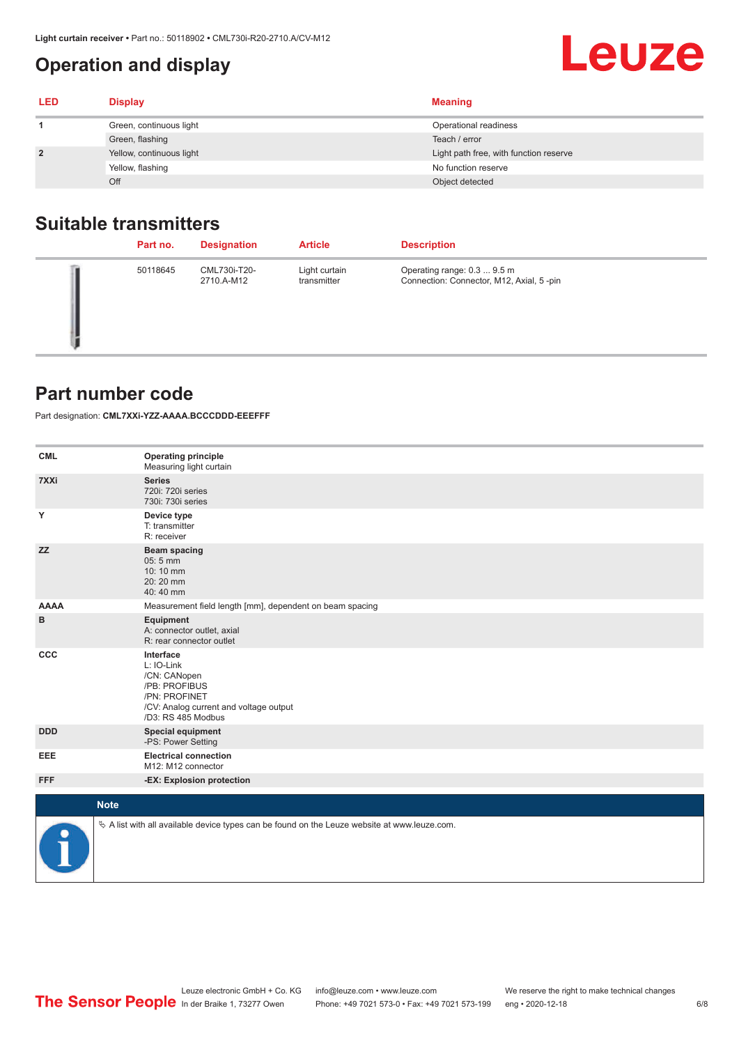## **Operation and display**

<span id="page-5-0"></span>

| <b>.ight curtain receiver •</b> Part no.: 50118902 • CML730i-R20-2710.A/CV-M12 |                              |                                        |
|--------------------------------------------------------------------------------|------------------------------|----------------------------------------|
|                                                                                | <b>Operation and display</b> | Leuze                                  |
| LED                                                                            | <b>Display</b>               | <b>Meaning</b>                         |
|                                                                                | Green, continuous light      | Operational readiness                  |
|                                                                                | Green, flashing              | Teach / error                          |
|                                                                                | Yellow, continuous light     | Light path free, with function reserve |
|                                                                                | Yellow, flashing             | No function reserve                    |
|                                                                                | Off                          | Object detected                        |

#### **Suitable transmitters**

| Part no. | <b>Designation</b>         | <b>Article</b>               | <b>Description</b>                                                      |
|----------|----------------------------|------------------------------|-------------------------------------------------------------------------|
| 50118645 | CML730i-T20-<br>2710.A-M12 | Light curtain<br>transmitter | Operating range: 0.3  9.5 m<br>Connection: Connector, M12, Axial, 5-pin |

#### **Part number code**

Part designation: **CML7XXi-YZZ-AAAA.BCCCDDD-EEEFFF**

| <b>CML</b>           | <b>Operating principle</b><br>Measuring light curtain                                                                                     |
|----------------------|-------------------------------------------------------------------------------------------------------------------------------------------|
| 7XXi                 | <b>Series</b><br>720i: 720i series<br>730i: 730i series                                                                                   |
| Y                    | Device type<br>T: transmitter<br>R: receiver                                                                                              |
| <b>ZZ</b>            | <b>Beam spacing</b><br>05:5 mm<br>10:10 mm<br>20:20 mm<br>40:40 mm                                                                        |
| <b>AAAA</b>          | Measurement field length [mm], dependent on beam spacing                                                                                  |
| в                    | Equipment<br>A: connector outlet, axial<br>R: rear connector outlet                                                                       |
| CCC                  | Interface<br>L: IO-Link<br>/CN: CANopen<br>/PB: PROFIBUS<br>/PN: PROFINET<br>/CV: Analog current and voltage output<br>/D3: RS 485 Modbus |
| <b>DDD</b>           | <b>Special equipment</b><br>-PS: Power Setting                                                                                            |
| <b>EEE</b>           | <b>Electrical connection</b><br>M12: M12 connector                                                                                        |
| <b>FFF</b>           | -EX: Explosion protection                                                                                                                 |
| <b>Note</b>          |                                                                                                                                           |
|                      |                                                                                                                                           |
| $\ddot{\phantom{a}}$ | $\&$ A list with all available device types can be found on the Leuze website at www.leuze.com.                                           |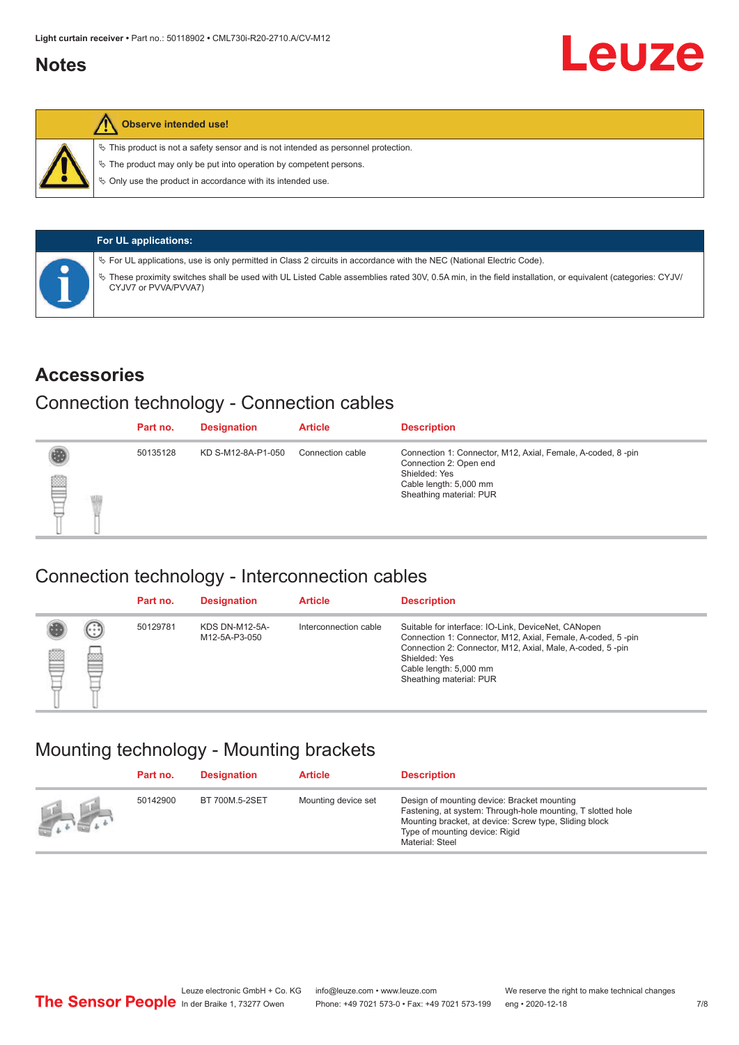#### <span id="page-6-0"></span>**Notes**



#### **Observe intended use!**

 $\%$  This product is not a safety sensor and is not intended as personnel protection.

 $\%$  The product may only be put into operation by competent persons.

 $\%$  Only use the product in accordance with its intended use.

| <b>For UL applications:</b>                                                                                                                                                     |
|---------------------------------------------------------------------------------------------------------------------------------------------------------------------------------|
| $\%$ For UL applications, use is only permitted in Class 2 circuits in accordance with the NEC (National Electric Code).                                                        |
| These proximity switches shall be used with UL Listed Cable assemblies rated 30V, 0.5A min, in the field installation, or equivalent (categories: CYJV/<br>CYJV7 or PVVA/PVVA7) |

#### **Accessories**

#### Connection technology - Connection cables

|   | Part no. | <b>Designation</b> | <b>Article</b>   | <b>Description</b>                                                                                                                                          |
|---|----------|--------------------|------------------|-------------------------------------------------------------------------------------------------------------------------------------------------------------|
| ₿ | 50135128 | KD S-M12-8A-P1-050 | Connection cable | Connection 1: Connector, M12, Axial, Female, A-coded, 8-pin<br>Connection 2: Open end<br>Shielded: Yes<br>Cable length: 5,000 mm<br>Sheathing material: PUR |

#### Connection technology - Interconnection cables

|   |                   | Part no. | <b>Designation</b>                     | <b>Article</b>        | <b>Description</b>                                                                                                                                                                                                                                    |
|---|-------------------|----------|----------------------------------------|-----------------------|-------------------------------------------------------------------------------------------------------------------------------------------------------------------------------------------------------------------------------------------------------|
| e | $(\cdot$ : :<br>b | 50129781 | <b>KDS DN-M12-5A-</b><br>M12-5A-P3-050 | Interconnection cable | Suitable for interface: IO-Link, DeviceNet, CANopen<br>Connection 1: Connector, M12, Axial, Female, A-coded, 5-pin<br>Connection 2: Connector, M12, Axial, Male, A-coded, 5-pin<br>Shielded: Yes<br>Cable length: 5,000 mm<br>Sheathing material: PUR |

#### Mounting technology - Mounting brackets

|               | Part no. | <b>Designation</b> | <b>Article</b>      | <b>Description</b>                                                                                                                                                                                                        |
|---------------|----------|--------------------|---------------------|---------------------------------------------------------------------------------------------------------------------------------------------------------------------------------------------------------------------------|
| <b>Altres</b> | 50142900 | BT 700M.5-2SET     | Mounting device set | Design of mounting device: Bracket mounting<br>Fastening, at system: Through-hole mounting, T slotted hole<br>Mounting bracket, at device: Screw type, Sliding block<br>Type of mounting device: Rigid<br>Material: Steel |

Leuze